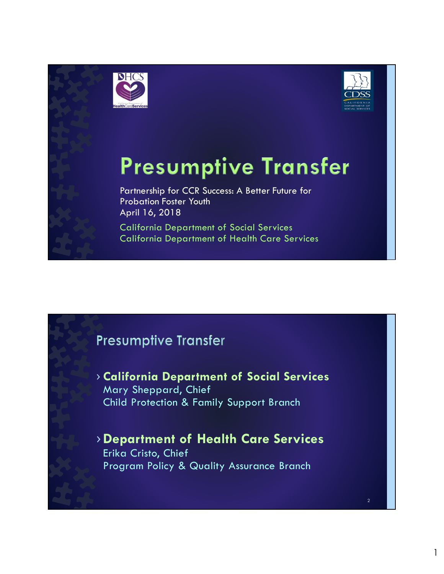



Partnership for CCR Success: A Better Future for Probation Foster Youth April 16, 2018

California Department of Social Services California Department of Health Care Services

## **Presumptive Transfer**

› California Department of Social Services Mary Sheppard, Chief Child Protection & Family Support Branch

›Department of Health Care Services Erika Cristo, Chief Program Policy & Quality Assurance Branch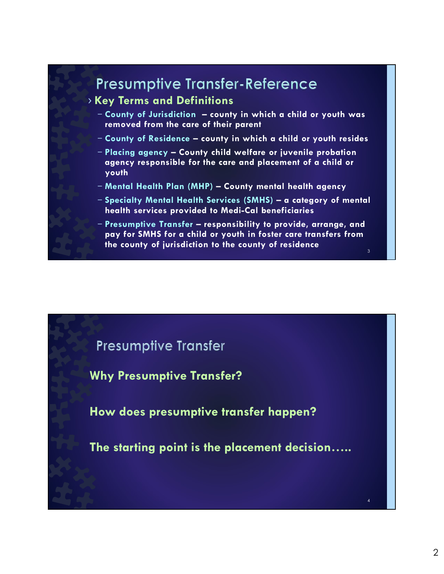## › Key Terms and Definitions Presumptive Transfer-Reference<br>
(Sey Terms and Definitions<br>
– County of Jurisdiction – county in which a child or youth was<br>
– County of Residence – county in which a child or youth resides<br>
– Placing agency – County child removed from the care of their parent Presumptive Transfer-Reference<br>
(ey Terms and Definitions<br>
- County of Jurisdiction – county in which a child or youth was<br>
removed from the care of their parent<br>
- County of Residence – county in which a child or youth re agency responsible for the care and placement of a child or youth Presumptive Transfer-Reference<br>
(ey Terms and Definitions<br>
- County of Jurisdiction – county in which a child or youth was<br>
removed from the care of their parent<br>
- County of Residence – county in which a child or youth re Pressumptive Transfer-Reference<br>
Key Terms and Definitions<br>
- County of Jurisdiction – county in which a child or youth was<br>
removed from the care of their parent<br>
- County of Residence – county in which a child or youth r health services provided to Medi-Cal beneficiaries Presumptive Transfer-Reference<br>
(ey Terms and Definitions<br>
- County of Jurisdiction – county in which a child or youth was<br>
removed from the care of their parent<br>
- County of Residence – county in which a child or youth re pay for SMHS for a child or youth in foster care transfers from the county of jurisdiction to the county of residence  $3 \qquad \qquad$

## **Presumptive Transfer**

Why Presumptive Transfer?

How does presumptive transfer happen?

The starting point is the placement decision…..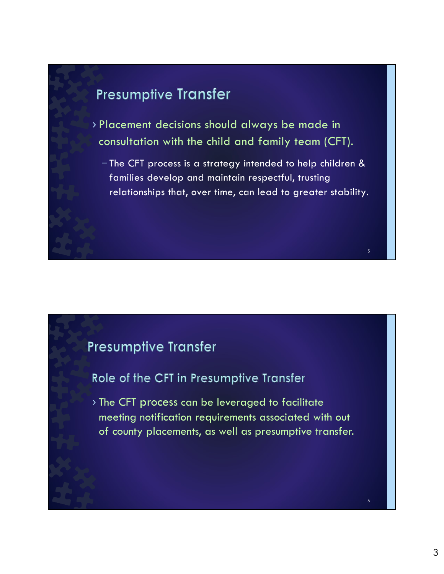- › Placement decisions should always be made in consultation with the child and family team (CFT).
	- The CFT process is a strategy intended to help children & families develop and maintain respectful, trusting relationships that, over time, can lead to greater stability.

## **Presumptive Transfer**

## Role of the CFT in Presumptive Transfer

› The CFT process can be leveraged to facilitate meeting notification requirements associated with out of county placements, as well as presumptive transfer.

6

 $\sim$  5  $\sim$  5  $\sim$  5  $\sim$  5  $\sim$  5  $\sim$  5  $\sim$  5  $\sim$  5  $\sim$  5  $\sim$  5  $\sim$  5  $\sim$  5  $\sim$  5  $\sim$  5  $\sim$  5  $\sim$  5  $\sim$  5  $\sim$  5  $\sim$  5  $\sim$  5  $\sim$  5  $\sim$  5  $\sim$  5  $\sim$  5  $\sim$  5  $\sim$  5  $\sim$  5  $\sim$  5  $\sim$  5  $\sim$  5  $\sim$  5  $\sim$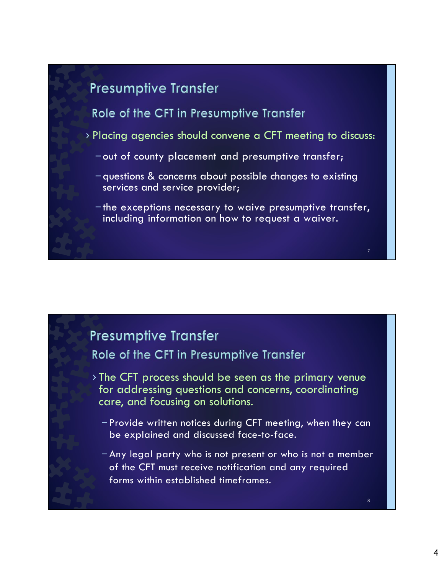## Role of the CFT in Presumptive Transfer

- › Placing agencies should convene a CFT meeting to discuss:
	- out of county placement and presumptive transfer;
	- questions & concerns about possible changes to existing services and service provider;
	- the exceptions necessary to waive presumptive transfer, including information on how to request a waiver.

## **Presumptive Transfer**

Role of the CFT in Presumptive Transfer

- › The CFT process should be seen as the primary venue for addressing questions and concerns, coordinating care, and focusing on solutions.
	- Provide written notices during CFT meeting, when they can be explained and discussed face-to-face.
	- Any legal party who is not present or who is not a member of the CFT must receive notification and any required forms within established timeframes.

8

7 and 10 and 10 and 10 and 10 and 10 and 10 and 10 and 10 and 10 and 10 and 10 and 10 and 10 and 10 and 10 and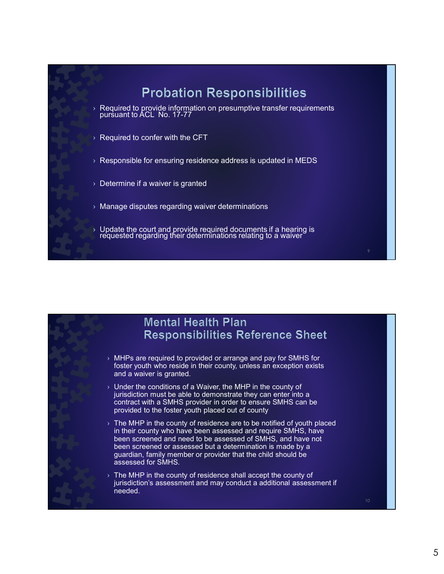



- $\rightarrow$  MHPs are required to provided or arrange and pay for SMHS for foster youth who reside in their county, unless an exception exists and a waiver is granted.
- $\rightarrow$  Under the conditions of a Waiver, the MHP in the county of jurisdiction must be able to demonstrate they can enter into a contract with a SMHS provider in order to ensure SMHS can be provided to the foster youth placed out of county
- $\rightarrow$  The MHP in the county of residence are to be notified of youth placed in their county who have been assessed and require SMHS, have been screened and need to be assessed of SMHS, and have not been screened or assessed but a determination is made by a guardian, family member or provider that the child should be assessed for SMHS.
- $\rightarrow$  The MHP in the county of residence shall accept the county of jurisdiction's assessment and may conduct a additional assessment if needed.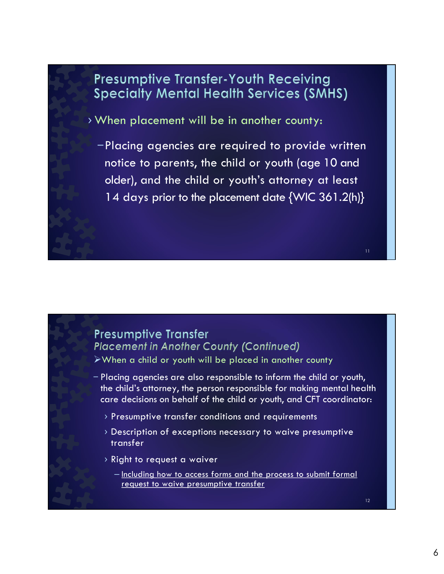## **Presumptive Transfer-Youth Receiving Specialty Mental Health Services (SMHS)**

› When placement will be in another county:

–Placing agencies are required to provide written notice to parents, the child or youth (age 10 and older), and the child or youth's attorney at least 14 days prior to the placement date {WIC 361.2(h)}

## **Presumptive Transfer Placement in Another County (Continued)**

When a child or youth will be placed in another county

- Placing agencies are also responsible to inform the child or youth, the child's attorney, the person responsible for making mental health care decisions on behalf of the child or youth, and CFT coordinator:
	- › Presumptive transfer conditions and requirements
	- › Description of exceptions necessary to waive presumptive transfer
	- › Right to request a waiver
		- Including how to access forms and the process to submit formal request to waive presumptive transfer

12

11 and **11** and 11 and 12 and 12 and 12 and 12 and 12 and 12 and 12 and 12 and 12 and 12 and 12 and 12 and 12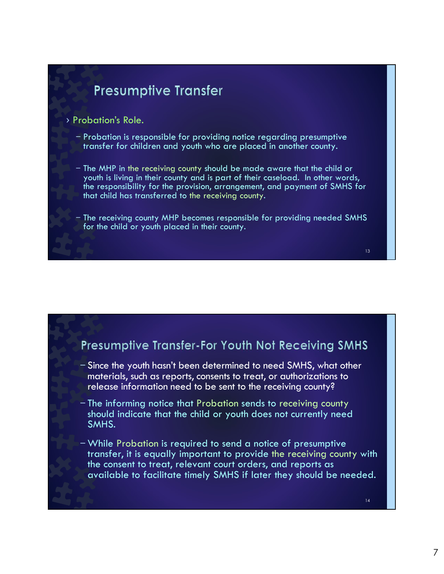#### › Probation's Role.

- Probation is responsible for providing notice regarding presumptive transfer for children and youth who are placed in another county.
- The MHP in the receiving county should be made aware that the child or youth is living in their county and is part of their caseload. In other words, the responsibility for the provision, arrangement, and payment of SMHS for that child has transferred to the receiving county.
- The receiving county MHP becomes responsible for providing needed SMHS for the child or youth placed in their county.

### Presumptive Transfer-For Youth Not Receiving SMHS

- Since the youth hasn't been determined to need SMHS, what other materials, such as reports, consents to treat, or authorizations to release information need to be sent to the receiving county?
- The informing notice that Probation sends to receiving county should indicate that the child or youth does not currently need SMHS.
- While Probation is required to send a notice of presumptive transfer, it is equally important to provide the receiving county with the consent to treat, relevant court orders, and reports as available to facilitate timely SMHS if later they should be needed.

14

 $13 \qquad \qquad \blacksquare$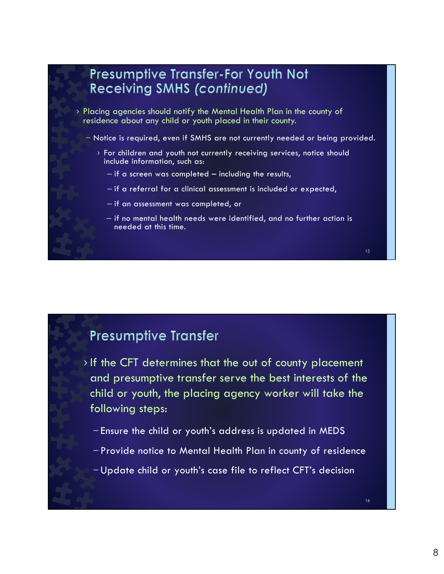

- › If the CFT determines that the out of county placement and presumptive transfer serve the best interests of the child or youth, the placing agency worker will take the following steps:
	- Ensure the child or youth's address is updated in MEDS
	- Provide notice to Mental Health Plan in county of residence
	- Update child or youth's case file to reflect CFT's decision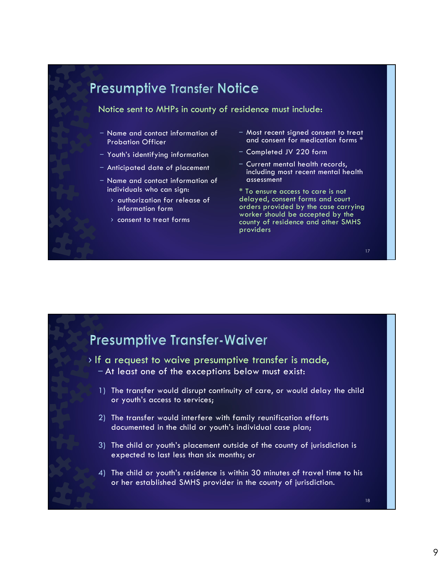## **Presumptive Transfer Notice**

Notice sent to MHPs in county of residence must include:

- Name and contact information of Probation Officer
- Youth's identifying information
- Anticipated date of placement
- Name and contact information of individuals who can sign:
	- › authorization for release of information form
	- › consent to treat forms
- Most recent signed consent to treat and consent for medication forms \*
- Completed JV 220 form
- Current mental health records, including most recent mental health assessment

\* To ensure access to care is not delayed, consent forms and court orders provided by the case carrying worker should be accepted by the county of residence and other SMHS providers

#### 17 and the contract of the contract of the contract of the contract of the contract of the contract of the con

## **Presumptive Transfer-Waiver**

› If a request to waive presumptive transfer is made, – At least one of the exceptions below must exist:

- 1) The transfer would disrupt continuity of care, or would delay the child or youth's access to services;
- 2) The transfer would interfere with family reunification efforts documented in the child or youth's individual case plan;
- 3) The child or youth's placement outside of the county of jurisdiction is expected to last less than six months; or
- 4) The child or youth's residence is within 30 minutes of travel time to his or her established SMHS provider in the county of jurisdiction.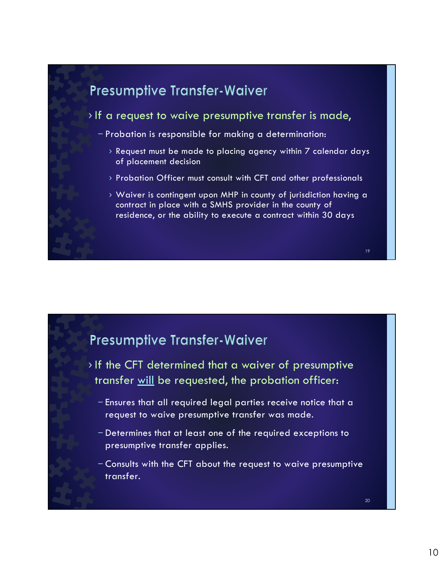

## Presumptive Transfer-Waiver

- › If the CFT determined that a waiver of presumptive transfer will be requested, the probation officer:
	- Ensures that all required legal parties receive notice that a request to waive presumptive transfer was made.
	- Determines that at least one of the required exceptions to presumptive transfer applies.
	- Consults with the CFT about the request to waive presumptive transfer.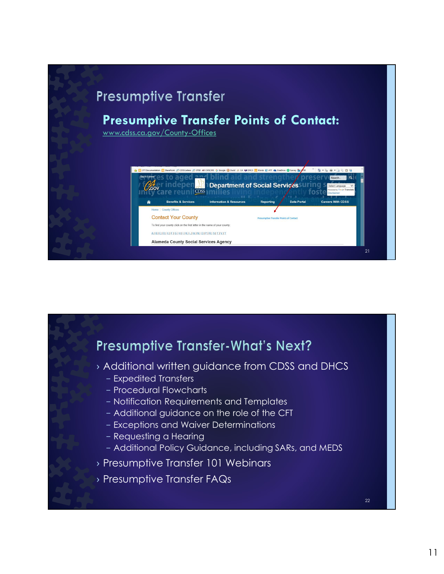## Presumptive Transfer Points of Contact:

www.cdss.ca.gov/County-Offices



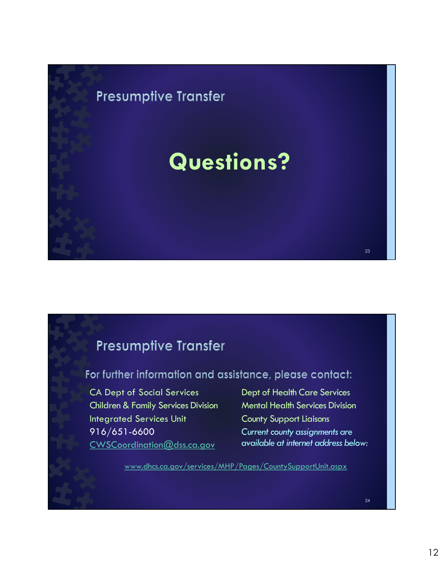# **Presumptive Transfer** Questions? 23 and the contract of the contract of the contract of the contract of the contract of the contract of the contract of the contract of the contract of the contract of the contract of the contract of the contract of the con

## **Presumptive Transfer**

For further information and assistance, please contact:

CA Dept of Social Services Children & Family Services Division Integrated Services Unit 916/651-6600 CWSCoordination@dss.ca.gov

Dept of Health Care Services Mental Health Services Division County Support Liaisons Current county assignments are available at internet address below:

www.dhcs.ca.gov/services/MHP/Pages/CountySupportUnit.aspx